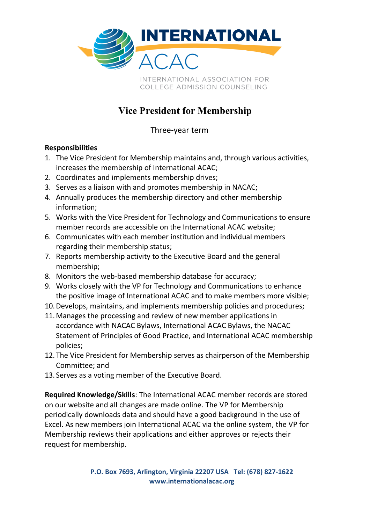

## **Vice President for Membership**

Three-year term

## **Responsibilities**

- 1. The Vice President for Membership maintains and, through various activities, increases the membership of International ACAC;
- 2. Coordinates and implements membership drives;
- 3. Serves as a liaison with and promotes membership in NACAC;
- 4. Annually produces the membership directory and other membership information;
- 5. Works with the Vice President for Technology and Communications to ensure member records are accessible on the International ACAC website;
- 6. Communicates with each member institution and individual members regarding their membership status;
- 7. Reports membership activity to the Executive Board and the general membership;
- 8. Monitors the web-based membership database for accuracy;
- 9. Works closely with the VP for Technology and Communications to enhance the positive image of International ACAC and to make members more visible;
- 10.Develops, maintains, and implements membership policies and procedures;
- 11.Manages the processing and review of new member applications in accordance with NACAC Bylaws, International ACAC Bylaws, the NACAC Statement of Principles of Good Practice, and International ACAC membership policies;
- 12. The Vice President for Membership serves as chairperson of the Membership Committee; and
- 13. Serves as a voting member of the Executive Board.

**Required Knowledge/Skills**: The International ACAC member records are stored on our website and all changes are made online. The VP for Membership periodically downloads data and should have a good background in the use of Excel. As new members join International ACAC via the online system, the VP for Membership reviews their applications and either approves or rejects their request for membership.

> **P.O. Box 7693, Arlington, Virginia 22207 USA Tel: (678) 827-1622 www.internationalacac.org**